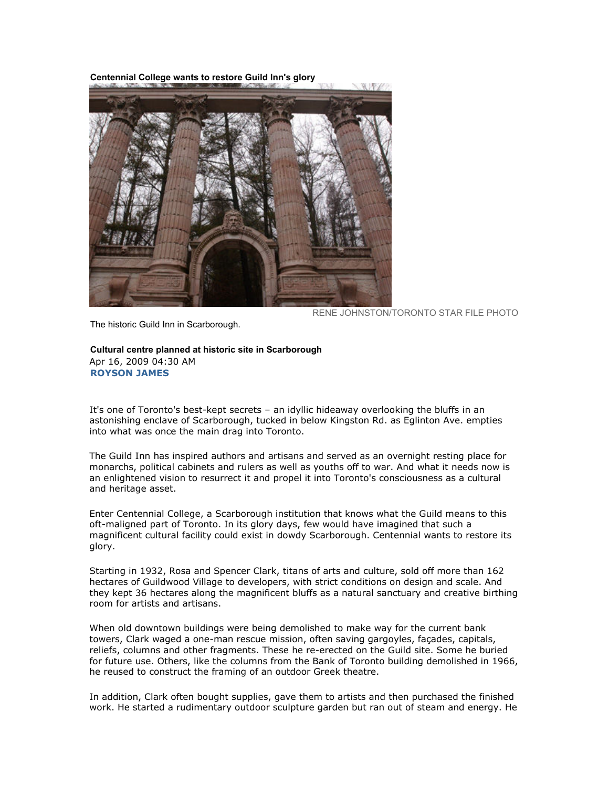Centennial College wants to restore Guild Inn's glory



RENE JOHNSTON/TORONTO STAR FILE PHOTO

The historic Guild Inn in Scarborough.

Cultural centre planned at historic site in Scarborough Apr 16, 2009 04:30 AM ROYSON JAMES

It's one of Toronto's best-kept secrets – an idyllic hideaway overlooking the bluffs in an astonishing enclave of Scarborough, tucked in below Kingston Rd. as Eglinton Ave. empties into what was once the main drag into Toronto.

The Guild Inn has inspired authors and artisans and served as an overnight resting place for monarchs, political cabinets and rulers as well as youths off to war. And what it needs now is an enlightened vision to resurrect it and propel it into Toronto's consciousness as a cultural and heritage asset.

Enter Centennial College, a Scarborough institution that knows what the Guild means to this oft-maligned part of Toronto. In its glory days, few would have imagined that such a magnificent cultural facility could exist in dowdy Scarborough. Centennial wants to restore its glory.

Starting in 1932, Rosa and Spencer Clark, titans of arts and culture, sold off more than 162 hectares of Guildwood Village to developers, with strict conditions on design and scale. And they kept 36 hectares along the magnificent bluffs as a natural sanctuary and creative birthing room for artists and artisans.

When old downtown buildings were being demolished to make way for the current bank towers, Clark waged a one-man rescue mission, often saving gargoyles, façades, capitals, reliefs, columns and other fragments. These he re-erected on the Guild site. Some he buried for future use. Others, like the columns from the Bank of Toronto building demolished in 1966, he reused to construct the framing of an outdoor Greek theatre.

In addition, Clark often bought supplies, gave them to artists and then purchased the finished work. He started a rudimentary outdoor sculpture garden but ran out of steam and energy. He